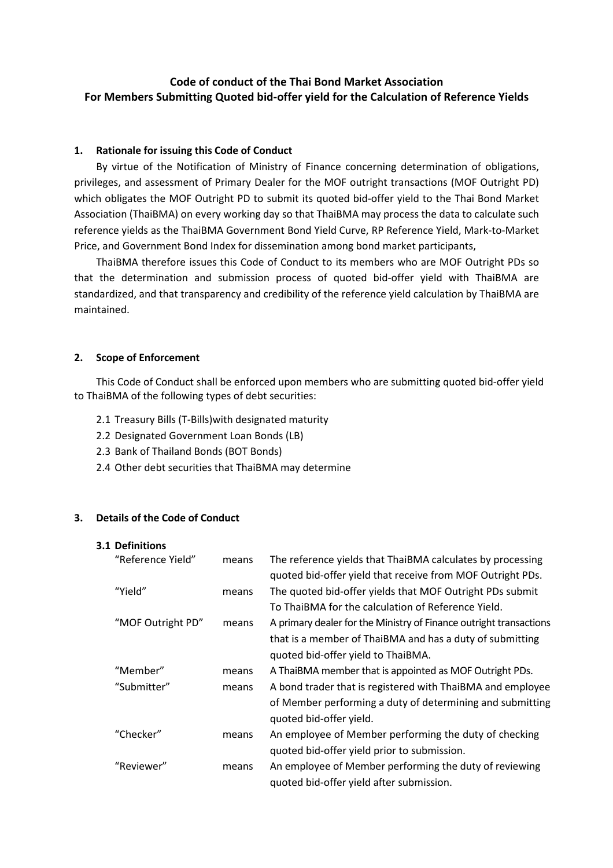# Code of conduct of the Thai Bond Market Association For Members Submitting Quoted bid-offer yield for the Calculation of Reference Yields

# 1. Rationale for issuing this Code of Conduct

By virtue of the Notification of Ministry of Finance concerning determination of obligations, privileges, and assessment of Primary Dealer for the MOF outright transactions (MOF Outright PD) which obligates the MOF Outright PD to submit its quoted bid-offer yield to the Thai Bond Market Association (ThaiBMA) on every working day so that ThaiBMA may process the data to calculate such reference yields as the ThaiBMA Government Bond Yield Curve, RP Reference Yield, Mark-to-Market Price, and Government Bond Index for dissemination among bond market participants,

ThaiBMA therefore issues this Code of Conduct to its members who are MOF Outright PDs so that the determination and submission process of quoted bid-offer yield with ThaiBMA are standardized, and that transparency and credibility of the reference yield calculation by ThaiBMA are maintained.

### 2. Scope of Enforcement

This Code of Conduct shall be enforced upon members who are submitting quoted bid-offer yield to ThaiBMA of the following types of debt securities:

- 2.1 Treasury Bills (T-Bills)with designated maturity
- 2.2 Designated Government Loan Bonds (LB)
- 2.3 Bank of Thailand Bonds (BOT Bonds)
- 2.4 Other debt securities that ThaiBMA may determine

### 3. Details of the Code of Conduct

### 3.1 Definitions

| "Reference Yield" | means | The reference yields that ThaiBMA calculates by processing         |
|-------------------|-------|--------------------------------------------------------------------|
|                   |       | quoted bid-offer yield that receive from MOF Outright PDs.         |
| "Yield"           | means | The quoted bid-offer yields that MOF Outright PDs submit           |
|                   |       | To ThaiBMA for the calculation of Reference Yield.                 |
| "MOF Outright PD" | means | A primary dealer for the Ministry of Finance outright transactions |
|                   |       | that is a member of ThaiBMA and has a duty of submitting           |
|                   |       | quoted bid-offer yield to ThaiBMA.                                 |
| "Member"          | means | A ThaiBMA member that is appointed as MOF Outright PDs.            |
| "Submitter"       | means | A bond trader that is registered with ThaiBMA and employee         |
|                   |       | of Member performing a duty of determining and submitting          |
|                   |       | quoted bid-offer yield.                                            |
| "Checker"         | means | An employee of Member performing the duty of checking              |
|                   |       | quoted bid-offer yield prior to submission.                        |
| "Reviewer"        | means | An employee of Member performing the duty of reviewing             |
|                   |       | quoted bid-offer yield after submission.                           |
|                   |       |                                                                    |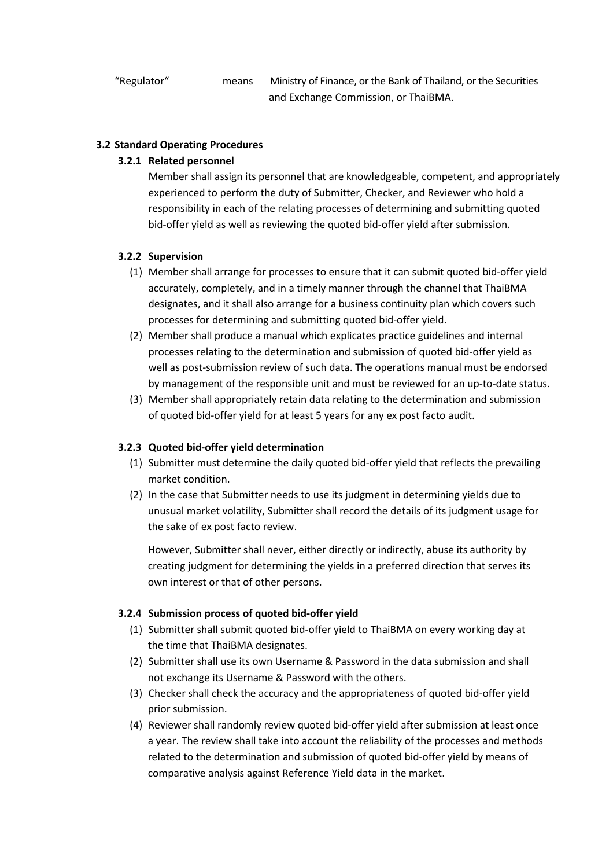## 3.2 Standard Operating Procedures

## 3.2.1 Related personnel

Member shall assign its personnel that are knowledgeable, competent, and appropriately experienced to perform the duty of Submitter, Checker, and Reviewer who hold a responsibility in each of the relating processes of determining and submitting quoted bid-offer yield as well as reviewing the quoted bid-offer yield after submission.

# 3.2.2 Supervision

- (1) Member shall arrange for processes to ensure that it can submit quoted bid-offer yield accurately, completely, and in a timely manner through the channel that ThaiBMA designates, and it shall also arrange for a business continuity plan which covers such processes for determining and submitting quoted bid-offer yield.
- (2) Member shall produce a manual which explicates practice guidelines and internal processes relating to the determination and submission of quoted bid-offer yield as well as post-submission review of such data. The operations manual must be endorsed by management of the responsible unit and must be reviewed for an up-to-date status.
- (3) Member shall appropriately retain data relating to the determination and submission of quoted bid-offer yield for at least 5 years for any ex post facto audit.

### 3.2.3 Quoted bid-offer yield determination

- (1) Submitter must determine the daily quoted bid-offer yield that reflects the prevailing market condition.
- (2) In the case that Submitter needs to use its judgment in determining yields due to unusual market volatility, Submitter shall record the details of its judgment usage for the sake of ex post facto review.

 However, Submitter shall never, either directly or indirectly, abuse its authority by creating judgment for determining the yields in a preferred direction that serves its own interest or that of other persons.

## 3.2.4 Submission process of quoted bid-offer yield

- (1) Submitter shall submit quoted bid-offer yield to ThaiBMA on every working day at the time that ThaiBMA designates.
- (2) Submitter shall use its own Username & Password in the data submission and shall not exchange its Username & Password with the others.
- (3) Checker shall check the accuracy and the appropriateness of quoted bid-offer yield prior submission.
- (4) Reviewer shall randomly review quoted bid-offer yield after submission at least once a year. The review shall take into account the reliability of the processes and methods related to the determination and submission of quoted bid-offer yield by means of comparative analysis against Reference Yield data in the market.